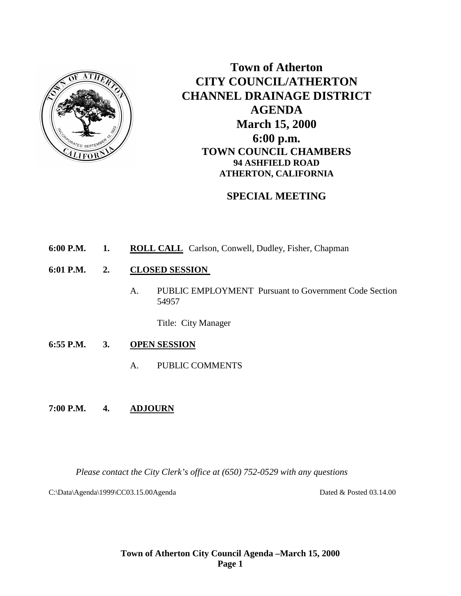

**Town of Atherton CITY COUNCIL/ATHERTON CHANNEL DRAINAGE DISTRICT AGENDA March 15, 2000 6:00 p.m. TOWN COUNCIL CHAMBERS 94 ASHFIELD ROAD ATHERTON, CALIFORNIA**

# **SPECIAL MEETING**

- **6:00 P.M. 1. ROLL CALL** Carlson, Conwell, Dudley, Fisher, Chapman
- **6:01 P.M. 2. CLOSED SESSION** 
	- A. PUBLIC EMPLOYMENT Pursuant to Government Code Section 54957

Title: City Manager

- **6:55 P.M. 3. OPEN SESSION**
	- A. PUBLIC COMMENTS
- **7:00 P.M. 4. ADJOURN**

*Please contact the City Clerk's office at (650) 752-0529 with any questions*

C:\Data\Agenda\1999\CC03.15.00Agenda Dated & Posted 03.14.00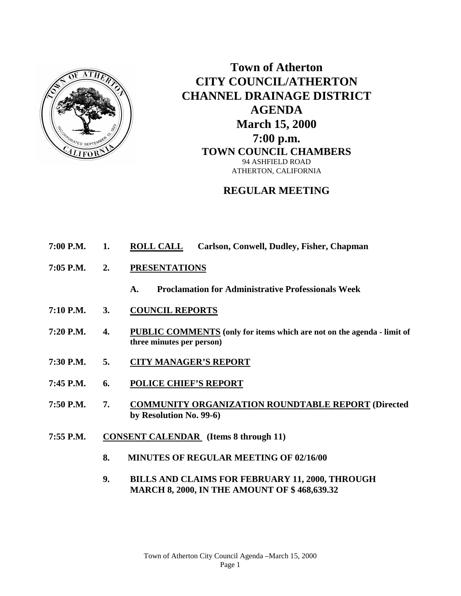

**Town of Atherton CITY COUNCIL/ATHERTON CHANNEL DRAINAGE DISTRICT AGENDA March 15, 2000 7:00 p.m. TOWN COUNCIL CHAMBERS** 94 ASHFIELD ROAD ATHERTON, CALIFORNIA

## **REGULAR MEETING**

- **7:00 P.M. 1. ROLL CALL Carlson, Conwell, Dudley, Fisher, Chapman**
- **7:05 P.M. 2. PRESENTATIONS**
	- **A. Proclamation for Administrative Professionals Week**
- **7:10 P.M. 3. COUNCIL REPORTS**
- **7:20 P.M. 4. PUBLIC COMMENTS (only for items which are not on the agenda - limit of three minutes per person)**
- **7:30 P.M. 5. CITY MANAGER'S REPORT**
- **7:45 P.M. 6. POLICE CHIEF'S REPORT**
- **7:50 P.M. 7. COMMUNITY ORGANIZATION ROUNDTABLE REPORT (Directed by Resolution No. 99-6)**
- **7:55 P.M. CONSENT CALENDAR (Items 8 through 11)**
	- **8. MINUTES OF REGULAR MEETING OF 02/16/00**
	- **9. BILLS AND CLAIMS FOR FEBRUARY 11, 2000, THROUGH MARCH 8, 2000, IN THE AMOUNT OF \$ 468,639.32**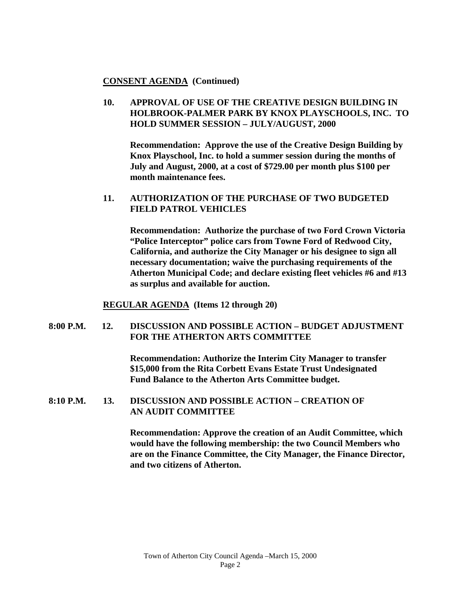#### **CONSENT AGENDA (Continued)**

## **10. APPROVAL OF USE OF THE CREATIVE DESIGN BUILDING IN HOLBROOK-PALMER PARK BY KNOX PLAYSCHOOLS, INC. TO HOLD SUMMER SESSION – JULY/AUGUST, 2000**

**Recommendation: Approve the use of the Creative Design Building by Knox Playschool, Inc. to hold a summer session during the months of July and August, 2000, at a cost of \$729.00 per month plus \$100 per month maintenance fees.**

#### **11. AUTHORIZATION OF THE PURCHASE OF TWO BUDGETED FIELD PATROL VEHICLES**

**Recommendation: Authorize the purchase of two Ford Crown Victoria "Police Interceptor" police cars from Towne Ford of Redwood City, California, and authorize the City Manager or his designee to sign all necessary documentation; waive the purchasing requirements of the Atherton Municipal Code; and declare existing fleet vehicles #6 and #13 as surplus and available for auction.**

**REGULAR AGENDA (Items 12 through 20)**

#### **8:00 P.M. 12. DISCUSSION AND POSSIBLE ACTION – BUDGET ADJUSTMENT FOR THE ATHERTON ARTS COMMITTEE**

**Recommendation: Authorize the Interim City Manager to transfer \$15,000 from the Rita Corbett Evans Estate Trust Undesignated Fund Balance to the Atherton Arts Committee budget.**

#### **8:10 P.M. 13. DISCUSSION AND POSSIBLE ACTION – CREATION OF AN AUDIT COMMITTEE**

**Recommendation: Approve the creation of an Audit Committee, which would have the following membership: the two Council Members who are on the Finance Committee, the City Manager, the Finance Director, and two citizens of Atherton.**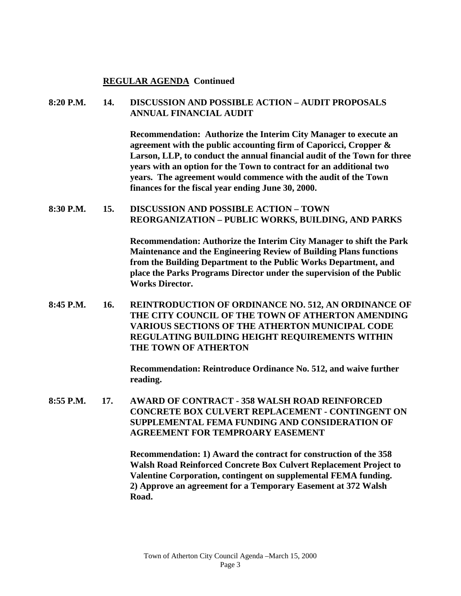#### **REGULAR AGENDA Continued**

#### **8:20 P.M. 14. DISCUSSION AND POSSIBLE ACTION – AUDIT PROPOSALS ANNUAL FINANCIAL AUDIT**

**Recommendation: Authorize the Interim City Manager to execute an agreement with the public accounting firm of Caporicci, Cropper & Larson, LLP, to conduct the annual financial audit of the Town for three years with an option for the Town to contract for an additional two years. The agreement would commence with the audit of the Town finances for the fiscal year ending June 30, 2000.**

#### **8:30 P.M. 15. DISCUSSION AND POSSIBLE ACTION – TOWN REORGANIZATION – PUBLIC WORKS, BUILDING, AND PARKS**

**Recommendation: Authorize the Interim City Manager to shift the Park Maintenance and the Engineering Review of Building Plans functions from the Building Department to the Public Works Department, and place the Parks Programs Director under the supervision of the Public Works Director.**

**8:45 P.M. 16. REINTRODUCTION OF ORDINANCE NO. 512, AN ORDINANCE OF THE CITY COUNCIL OF THE TOWN OF ATHERTON AMENDING VARIOUS SECTIONS OF THE ATHERTON MUNICIPAL CODE REGULATING BUILDING HEIGHT REQUIREMENTS WITHIN THE TOWN OF ATHERTON**

> **Recommendation: Reintroduce Ordinance No. 512, and waive further reading.**

**8:55 P.M. 17. AWARD OF CONTRACT - 358 WALSH ROAD REINFORCED CONCRETE BOX CULVERT REPLACEMENT - CONTINGENT ON SUPPLEMENTAL FEMA FUNDING AND CONSIDERATION OF AGREEMENT FOR TEMPROARY EASEMENT**

> **Recommendation: 1) Award the contract for construction of the 358 Walsh Road Reinforced Concrete Box Culvert Replacement Project to Valentine Corporation, contingent on supplemental FEMA funding. 2) Approve an agreement for a Temporary Easement at 372 Walsh Road.**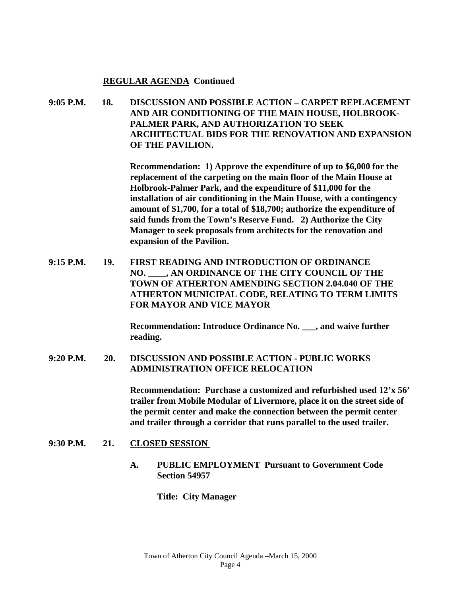#### **REGULAR AGENDA Continued**

**9:05 P.M. 18. DISCUSSION AND POSSIBLE ACTION – CARPET REPLACEMENT AND AIR CONDITIONING OF THE MAIN HOUSE, HOLBROOK-PALMER PARK, AND AUTHORIZATION TO SEEK ARCHITECTUAL BIDS FOR THE RENOVATION AND EXPANSION OF THE PAVILION.**

> **Recommendation: 1) Approve the expenditure of up to \$6,000 for the replacement of the carpeting on the main floor of the Main House at Holbrook-Palmer Park, and the expenditure of \$11,000 for the installation of air conditioning in the Main House, with a contingency amount of \$1,700, for a total of \$18,700; authorize the expenditure of said funds from the Town's Reserve Fund. 2) Authorize the City Manager to seek proposals from architects for the renovation and expansion of the Pavilion.**

**9:15 P.M. 19. FIRST READING AND INTRODUCTION OF ORDINANCE NO. \_\_\_\_, AN ORDINANCE OF THE CITY COUNCIL OF THE TOWN OF ATHERTON AMENDING SECTION 2.04.040 OF THE ATHERTON MUNICIPAL CODE, RELATING TO TERM LIMITS FOR MAYOR AND VICE MAYOR**

> **Recommendation: Introduce Ordinance No. \_\_\_, and waive further reading.**

**9:20 P.M. 20. DISCUSSION AND POSSIBLE ACTION - PUBLIC WORKS ADMINISTRATION OFFICE RELOCATION**

> **Recommendation: Purchase a customized and refurbished used 12'x 56' trailer from Mobile Modular of Livermore, place it on the street side of the permit center and make the connection between the permit center and trailer through a corridor that runs parallel to the used trailer.**

- **9:30 P.M. 21. CLOSED SESSION** 
	- **A. PUBLIC EMPLOYMENT Pursuant to Government Code Section 54957**

**Title: City Manager**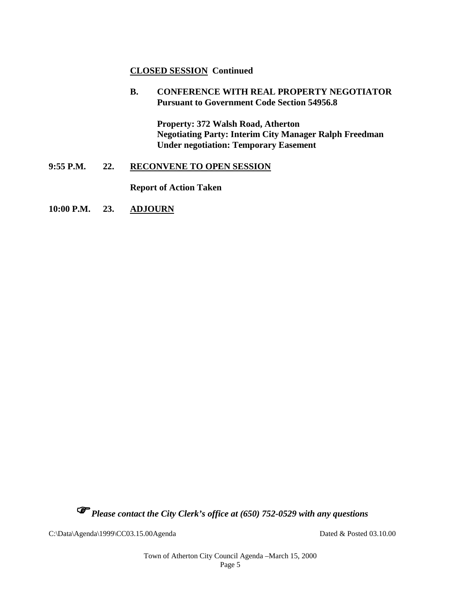### **CLOSED SESSION Continued**

#### **B. CONFERENCE WITH REAL PROPERTY NEGOTIATOR Pursuant to Government Code Section 54956.8**

**Property: 372 Walsh Road, Atherton Negotiating Party: Interim City Manager Ralph Freedman Under negotiation: Temporary Easement**

#### **9:55 P.M. 22. RECONVENE TO OPEN SESSION**

**Report of Action Taken**

#### **10:00 P.M. 23. ADJOURN**

*Please contact the City Clerk's office at (650) 752-0529 with any questions*

C:\Data\Agenda\1999\CC03.15.00Agenda Dated & Posted 03.10.00

Town of Atherton City Council Agenda –March 15, 2000 Page 5